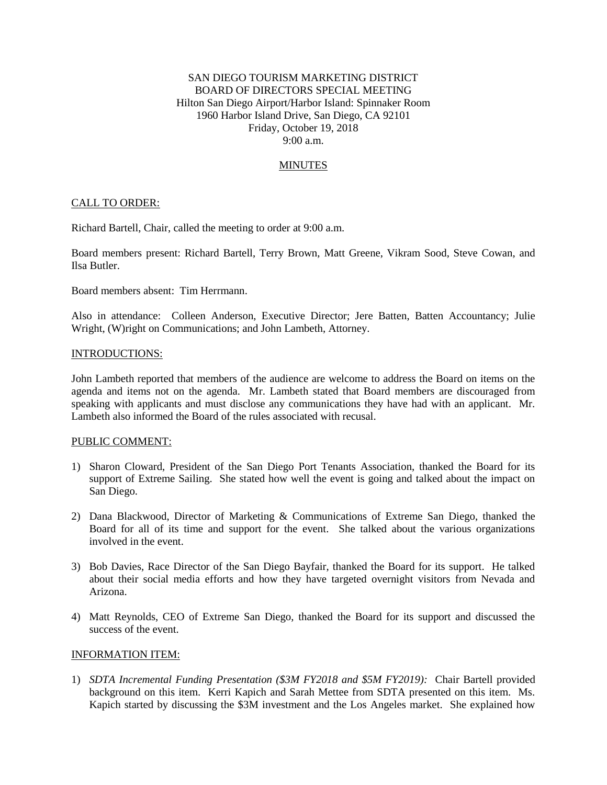# SAN DIEGO TOURISM MARKETING DISTRICT BOARD OF DIRECTORS SPECIAL MEETING Hilton San Diego Airport/Harbor Island: Spinnaker Room 1960 Harbor Island Drive, San Diego, CA 92101 Friday, October 19, 2018 9:00 a.m.

## **MINUTES**

### CALL TO ORDER:

Richard Bartell, Chair, called the meeting to order at 9:00 a.m.

Board members present: Richard Bartell, Terry Brown, Matt Greene, Vikram Sood, Steve Cowan, and Ilsa Butler.

Board members absent: Tim Herrmann.

Also in attendance: Colleen Anderson, Executive Director; Jere Batten, Batten Accountancy; Julie Wright, (W)right on Communications; and John Lambeth, Attorney.

#### INTRODUCTIONS:

John Lambeth reported that members of the audience are welcome to address the Board on items on the agenda and items not on the agenda. Mr. Lambeth stated that Board members are discouraged from speaking with applicants and must disclose any communications they have had with an applicant. Mr. Lambeth also informed the Board of the rules associated with recusal.

### PUBLIC COMMENT:

- 1) Sharon Cloward, President of the San Diego Port Tenants Association, thanked the Board for its support of Extreme Sailing. She stated how well the event is going and talked about the impact on San Diego.
- 2) Dana Blackwood, Director of Marketing & Communications of Extreme San Diego, thanked the Board for all of its time and support for the event. She talked about the various organizations involved in the event.
- 3) Bob Davies, Race Director of the San Diego Bayfair, thanked the Board for its support. He talked about their social media efforts and how they have targeted overnight visitors from Nevada and Arizona.
- 4) Matt Reynolds, CEO of Extreme San Diego, thanked the Board for its support and discussed the success of the event.

#### INFORMATION ITEM:

1) *SDTA Incremental Funding Presentation (\$3M FY2018 and \$5M FY2019):* Chair Bartell provided background on this item. Kerri Kapich and Sarah Mettee from SDTA presented on this item. Ms. Kapich started by discussing the \$3M investment and the Los Angeles market. She explained how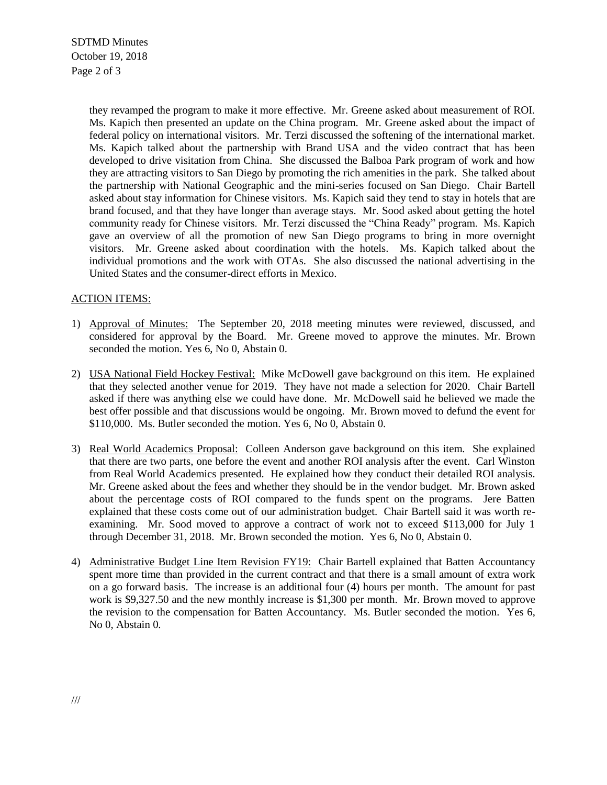SDTMD Minutes October 19, 2018 Page 2 of 3

> they revamped the program to make it more effective. Mr. Greene asked about measurement of ROI. Ms. Kapich then presented an update on the China program. Mr. Greene asked about the impact of federal policy on international visitors. Mr. Terzi discussed the softening of the international market. Ms. Kapich talked about the partnership with Brand USA and the video contract that has been developed to drive visitation from China. She discussed the Balboa Park program of work and how they are attracting visitors to San Diego by promoting the rich amenities in the park. She talked about the partnership with National Geographic and the mini-series focused on San Diego. Chair Bartell asked about stay information for Chinese visitors. Ms. Kapich said they tend to stay in hotels that are brand focused, and that they have longer than average stays. Mr. Sood asked about getting the hotel community ready for Chinese visitors. Mr. Terzi discussed the "China Ready" program. Ms. Kapich gave an overview of all the promotion of new San Diego programs to bring in more overnight visitors. Mr. Greene asked about coordination with the hotels. Ms. Kapich talked about the individual promotions and the work with OTAs. She also discussed the national advertising in the United States and the consumer-direct efforts in Mexico.

## ACTION ITEMS:

- 1) Approval of Minutes: The September 20, 2018 meeting minutes were reviewed, discussed, and considered for approval by the Board. Mr. Greene moved to approve the minutes. Mr. Brown seconded the motion. Yes 6, No 0, Abstain 0.
- 2) USA National Field Hockey Festival: Mike McDowell gave background on this item. He explained that they selected another venue for 2019. They have not made a selection for 2020. Chair Bartell asked if there was anything else we could have done. Mr. McDowell said he believed we made the best offer possible and that discussions would be ongoing. Mr. Brown moved to defund the event for \$110,000. Ms. Butler seconded the motion. Yes 6, No 0, Abstain 0.
- 3) Real World Academics Proposal: Colleen Anderson gave background on this item. She explained that there are two parts, one before the event and another ROI analysis after the event. Carl Winston from Real World Academics presented. He explained how they conduct their detailed ROI analysis. Mr. Greene asked about the fees and whether they should be in the vendor budget. Mr. Brown asked about the percentage costs of ROI compared to the funds spent on the programs. Jere Batten explained that these costs come out of our administration budget. Chair Bartell said it was worth reexamining. Mr. Sood moved to approve a contract of work not to exceed \$113,000 for July 1 through December 31, 2018. Mr. Brown seconded the motion. Yes 6, No 0, Abstain 0.
- 4) Administrative Budget Line Item Revision FY19: Chair Bartell explained that Batten Accountancy spent more time than provided in the current contract and that there is a small amount of extra work on a go forward basis. The increase is an additional four (4) hours per month. The amount for past work is \$9,327.50 and the new monthly increase is \$1,300 per month. Mr. Brown moved to approve the revision to the compensation for Batten Accountancy. Ms. Butler seconded the motion. Yes 6, No 0, Abstain 0.